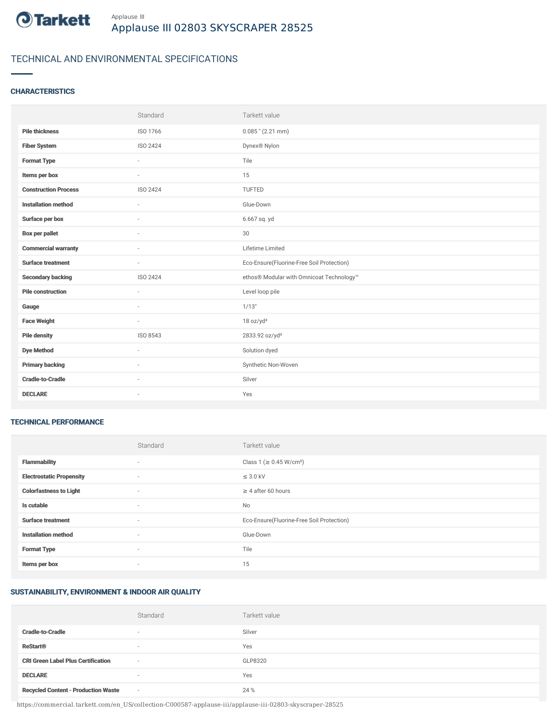

# TECHNICAL AND ENVIRONMENTAL SPECIFICATIONS

## **CHARACTERISTICS**

|                             | Standard | Tarkett value                             |
|-----------------------------|----------|-------------------------------------------|
| <b>Pile thickness</b>       | ISO 1766 | $0.085$ " (2.21 mm)                       |
| <b>Fiber System</b>         | ISO 2424 | Dynex® Nylon                              |
| <b>Format Type</b>          | $\sim$   | Tile                                      |
| Items per box               | ×.       | 15                                        |
| <b>Construction Process</b> | ISO 2424 | TUFTED                                    |
| <b>Installation method</b>  | ÷        | Glue-Down                                 |
| Surface per box             | $\sim$   | 6.667 sq. yd                              |
| <b>Box per pallet</b>       | $\sim$   | 30                                        |
| <b>Commercial warranty</b>  | $\sim$   | Lifetime Limited                          |
| <b>Surface treatment</b>    | $\sim$   | Eco-Ensure(Fluorine-Free Soil Protection) |
| <b>Secondary backing</b>    | ISO 2424 | ethos® Modular with Omnicoat Technology™  |
| <b>Pile construction</b>    | ÷        | Level loop pile                           |
| Gauge                       | $\sim$   | 1/13"                                     |
| <b>Face Weight</b>          | $\sim$   | 18 oz/yd <sup>2</sup>                     |
| <b>Pile density</b>         | ISO 8543 | 2833.92 oz/yd <sup>3</sup>                |
|                             |          |                                           |
| <b>Dye Method</b>           | $\sim$   | Solution dyed                             |
| <b>Primary backing</b>      | $\sim$   | Synthetic Non-Woven                       |
| <b>Cradle-to-Cradle</b>     |          | Silver                                    |

#### TECHNICAL PERFORMANCE

|                                 | Standard                 | Tarkett value                             |
|---------------------------------|--------------------------|-------------------------------------------|
| <b>Flammability</b>             | ٠                        | Class 1 (≥ 0.45 W/cm <sup>2</sup> )       |
| <b>Electrostatic Propensity</b> | $\sim$                   | $\leq$ 3.0 kV                             |
| <b>Colorfastness to Light</b>   | ٠                        | $\geq 4$ after 60 hours                   |
| Is cutable                      | ٠                        | No                                        |
| <b>Surface treatment</b>        | ٠                        | Eco-Ensure(Fluorine-Free Soil Protection) |
| <b>Installation method</b>      | ٠                        | Glue-Down                                 |
| <b>Format Type</b>              | $\sim$                   | Tile                                      |
| Items per box                   | $\overline{\phantom{a}}$ | 15                                        |

## SUSTAINABILITY, ENVIRONMENT & INDOOR AIR QUALITY

|                                            | Standard                 | Tarkett value |
|--------------------------------------------|--------------------------|---------------|
| <b>Cradle-to-Cradle</b>                    | $\overline{\phantom{a}}$ | Silver        |
| <b>ReStart®</b>                            | $\overline{\phantom{a}}$ | Yes           |
| <b>CRI Green Label Plus Certification</b>  | $\sim$                   | GLP8320       |
| <b>DECLARE</b>                             | $\sim$                   | Yes           |
| <b>Recycled Content - Production Waste</b> | $\sim$                   | 24 %          |

https://commercial.tarkett.com/en\_US/collection-C000587-applause-iii/applause-iii-02803-skyscraper-28525